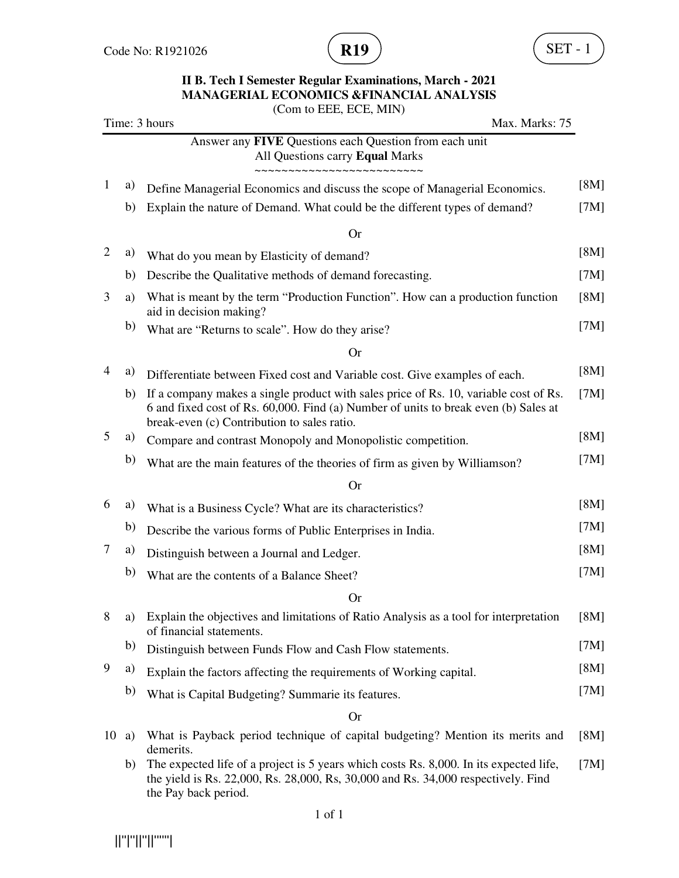

### **II B. Tech I Semester Regular Examinations, March - 2021 MANAGERIAL ECONOMICS &FINANCIAL ANALYSIS**

|                |    | (Com to EEE, ECE, MIN)                                                                                                                                                                                                     |      |
|----------------|----|----------------------------------------------------------------------------------------------------------------------------------------------------------------------------------------------------------------------------|------|
|                |    | Time: 3 hours<br>Max. Marks: 75                                                                                                                                                                                            |      |
|                |    | Answer any FIVE Questions each Question from each unit<br>All Questions carry Equal Marks<br>~~~~~~~~~~~~~~~~~~                                                                                                            |      |
| 1              | a) | Define Managerial Economics and discuss the scope of Managerial Economics.                                                                                                                                                 | [8M] |
|                | b) | Explain the nature of Demand. What could be the different types of demand?                                                                                                                                                 | [7M] |
|                |    | <b>Or</b>                                                                                                                                                                                                                  |      |
| $\overline{c}$ | a) | What do you mean by Elasticity of demand?                                                                                                                                                                                  | [8M] |
|                | b) | Describe the Qualitative methods of demand forecasting.                                                                                                                                                                    | [7M] |
| 3              | a) | What is meant by the term "Production Function". How can a production function<br>aid in decision making?                                                                                                                  | [8M] |
|                | b) | What are "Returns to scale". How do they arise?                                                                                                                                                                            | [7M] |
|                |    | <b>Or</b>                                                                                                                                                                                                                  |      |
| 4              | a) | Differentiate between Fixed cost and Variable cost. Give examples of each.                                                                                                                                                 | [8M] |
|                | b) | If a company makes a single product with sales price of Rs. 10, variable cost of Rs.<br>6 and fixed cost of Rs. 60,000. Find (a) Number of units to break even (b) Sales at<br>break-even (c) Contribution to sales ratio. | [7M] |
| 5              | a) | Compare and contrast Monopoly and Monopolistic competition.                                                                                                                                                                | [8M] |
|                | b) | What are the main features of the theories of firm as given by Williamson?                                                                                                                                                 | [7M] |
|                |    | <b>Or</b>                                                                                                                                                                                                                  |      |
| 6              | a) | What is a Business Cycle? What are its characteristics?                                                                                                                                                                    | [8M] |
|                | b) | Describe the various forms of Public Enterprises in India.                                                                                                                                                                 | [7M] |
| 7              | a) | Distinguish between a Journal and Ledger.                                                                                                                                                                                  | [8M] |
|                | b) | What are the contents of a Balance Sheet?                                                                                                                                                                                  | [7M] |
|                |    | (r)                                                                                                                                                                                                                        |      |
| 8              | a) | Explain the objectives and limitations of Ratio Analysis as a tool for interpretation<br>of financial statements.                                                                                                          | [8M] |
|                | b) | Distinguish between Funds Flow and Cash Flow statements.                                                                                                                                                                   | [7M] |
| 9              | a) | Explain the factors affecting the requirements of Working capital.                                                                                                                                                         | [8M] |
|                | b) | What is Capital Budgeting? Summarie its features.                                                                                                                                                                          | [7M] |
|                |    | <b>Or</b>                                                                                                                                                                                                                  |      |
| 10             | a) | What is Payback period technique of capital budgeting? Mention its merits and<br>demerits.                                                                                                                                 | [8M] |
|                | b) | The expected life of a project is 5 years which costs Rs. 8,000. In its expected life,<br>the yield is Rs. 22,000, Rs. 28,000, Rs, 30,000 and Rs. 34,000 respectively. Find<br>the Pay back period.                        | [7M] |

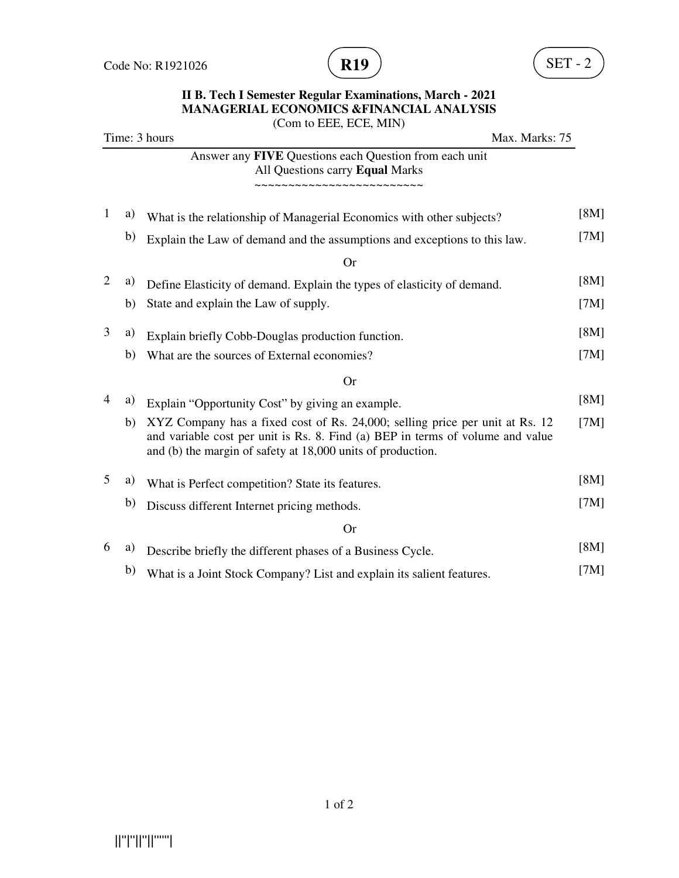

#### **II B. Tech I Semester Regular Examinations, March - 2021 MANAGERIAL ECONOMICS &FINANCIAL ANALYSIS**  (Com to EEE, ECE, MIN)

|                          |    | Time: 3 hours<br>Max. Marks: 75                                                                                                                                                                                               |      |
|--------------------------|----|-------------------------------------------------------------------------------------------------------------------------------------------------------------------------------------------------------------------------------|------|
|                          |    | Answer any FIVE Questions each Question from each unit<br>All Questions carry Equal Marks<br>~~~~~~~~~~~~~~~~~~~                                                                                                              |      |
|                          |    |                                                                                                                                                                                                                               |      |
| $\mathbf{1}$             | a) | What is the relationship of Managerial Economics with other subjects?                                                                                                                                                         | [8M] |
|                          | b) | Explain the Law of demand and the assumptions and exceptions to this law.                                                                                                                                                     | [7M] |
|                          |    | <b>Or</b>                                                                                                                                                                                                                     |      |
| $\overline{2}$           | a) | Define Elasticity of demand. Explain the types of elasticity of demand.                                                                                                                                                       | [8M] |
|                          | b) | State and explain the Law of supply.                                                                                                                                                                                          | [7M] |
| 3                        | a) | Explain briefly Cobb-Douglas production function.                                                                                                                                                                             | [8M] |
|                          | b) | What are the sources of External economies?                                                                                                                                                                                   | [7M] |
|                          |    | <b>Or</b>                                                                                                                                                                                                                     |      |
| $\overline{\mathcal{L}}$ | a) | Explain "Opportunity Cost" by giving an example.                                                                                                                                                                              | [8M] |
|                          | b) | XYZ Company has a fixed cost of Rs. 24,000; selling price per unit at Rs. 12<br>and variable cost per unit is Rs. 8. Find (a) BEP in terms of volume and value<br>and (b) the margin of safety at 18,000 units of production. | [7M] |
| 5                        | a) | What is Perfect competition? State its features.                                                                                                                                                                              | [8M] |
|                          | b) | Discuss different Internet pricing methods.                                                                                                                                                                                   | [7M] |
|                          |    | <b>Or</b>                                                                                                                                                                                                                     |      |
| 6                        | a) | Describe briefly the different phases of a Business Cycle.                                                                                                                                                                    | [8M] |
|                          | b) | What is a Joint Stock Company? List and explain its salient features.                                                                                                                                                         | [7M] |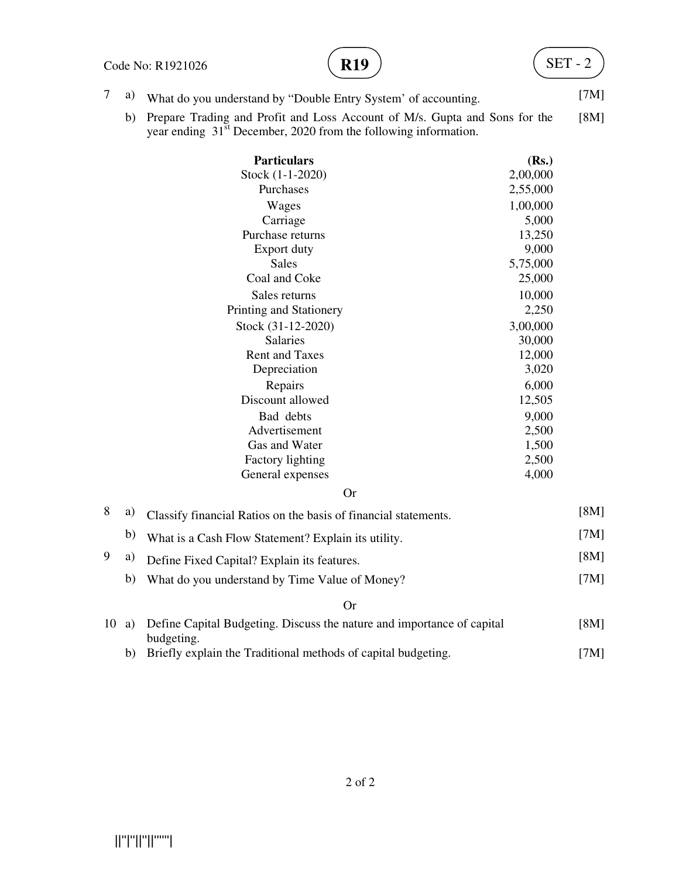#### Code No: R1921026



7 a) What do you understand by "Double Entry System' of accounting. [7M]

 b) Prepare Trading and Profit and Loss Account of M/s. Gupta and Sons for the year ending  $31<sup>st</sup>$  December, 2020 from the following information. [8M]

|    |    | <b>Particulars</b>                                                                   | (Rs.)    |      |
|----|----|--------------------------------------------------------------------------------------|----------|------|
|    |    | Stock (1-1-2020)                                                                     | 2,00,000 |      |
|    |    | Purchases                                                                            | 2,55,000 |      |
|    |    | Wages                                                                                | 1,00,000 |      |
|    |    | Carriage                                                                             | 5,000    |      |
|    |    | Purchase returns                                                                     | 13,250   |      |
|    |    | Export duty                                                                          | 9,000    |      |
|    |    | <b>Sales</b>                                                                         | 5,75,000 |      |
|    |    | Coal and Coke                                                                        | 25,000   |      |
|    |    | Sales returns                                                                        | 10,000   |      |
|    |    | Printing and Stationery                                                              | 2,250    |      |
|    |    | Stock (31-12-2020)                                                                   | 3,00,000 |      |
|    |    | Salaries                                                                             | 30,000   |      |
|    |    | <b>Rent and Taxes</b>                                                                | 12,000   |      |
|    |    | Depreciation                                                                         | 3,020    |      |
|    |    | Repairs                                                                              | 6,000    |      |
|    |    | Discount allowed                                                                     | 12,505   |      |
|    |    | Bad debts                                                                            | 9,000    |      |
|    |    | Advertisement                                                                        | 2,500    |      |
|    |    | Gas and Water                                                                        | 1,500    |      |
|    |    | Factory lighting                                                                     | 2,500    |      |
|    |    | General expenses                                                                     | 4,000    |      |
|    |    | <b>Or</b>                                                                            |          |      |
| 8  | a) | Classify financial Ratios on the basis of financial statements.                      |          | [8M] |
|    | b) | What is a Cash Flow Statement? Explain its utility.                                  |          | [7M] |
| 9  | a) | Define Fixed Capital? Explain its features.                                          |          | [8M] |
|    | b) | What do you understand by Time Value of Money?                                       |          | [7M] |
|    |    | <b>Or</b>                                                                            |          |      |
| 10 | a) | Define Capital Budgeting. Discuss the nature and importance of capital<br>budgeting. |          | [8M] |
|    | b) | Briefly explain the Traditional methods of capital budgeting.                        |          | [7M] |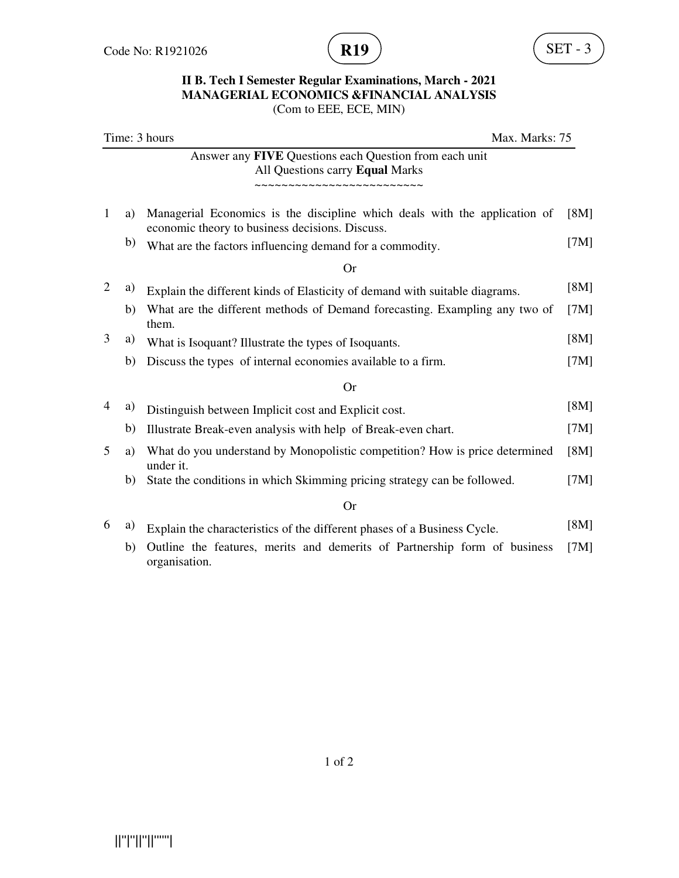

## **II B. Tech I Semester Regular Examinations, March - 2021 MANAGERIAL ECONOMICS &FINANCIAL ANALYSIS**

(Com to EEE, ECE, MIN)

|   | Time: 3 hours<br>Max. Marks: 75 |                                                                                                                               |      |
|---|---------------------------------|-------------------------------------------------------------------------------------------------------------------------------|------|
|   |                                 | Answer any <b>FIVE</b> Questions each Question from each unit<br>All Questions carry Equal Marks<br>,,,,,,,,,,,,,,,,,,,,,,    |      |
| 1 | a)                              | Managerial Economics is the discipline which deals with the application of<br>economic theory to business decisions. Discuss. | [8M] |
|   | b)                              | What are the factors influencing demand for a commodity.                                                                      | [7M] |
|   |                                 | Or                                                                                                                            |      |
| 2 | a)                              | Explain the different kinds of Elasticity of demand with suitable diagrams.                                                   | [8M] |
|   | b)                              | What are the different methods of Demand forecasting. Exampling any two of<br>them.                                           | [7M] |
| 3 | a)                              | What is Isoquant? Illustrate the types of Isoquants.                                                                          | [8M] |
|   | b)                              | Discuss the types of internal economies available to a firm.                                                                  | [7M] |
|   |                                 | <b>Or</b>                                                                                                                     |      |
| 4 | a)                              | Distinguish between Implicit cost and Explicit cost.                                                                          | [8M] |
|   | b)                              | Illustrate Break-even analysis with help of Break-even chart.                                                                 | [7M] |
| 5 | a)                              | What do you understand by Monopolistic competition? How is price determined<br>under it.                                      | [8M] |
|   | b)                              | State the conditions in which Skimming pricing strategy can be followed.                                                      | [7M] |
|   |                                 | <b>Or</b>                                                                                                                     |      |
| 6 | a)                              | Explain the characteristics of the different phases of a Business Cycle.                                                      | [8M] |
|   | b)                              | Outline the features, merits and demerits of Partnership form of business<br>organisation.                                    | [7M] |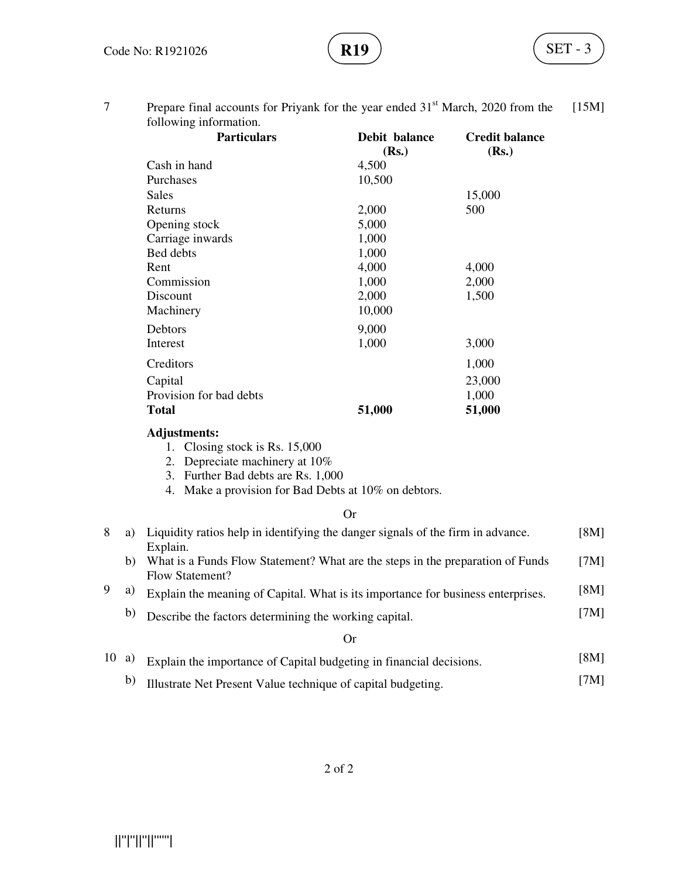7 Prepare final accounts for Priyank for the year ended 31<sup>st</sup> March, 2020 from the following information. [15M]

| <b>Particulars</b>      | Debit balance<br>(Rs.) | <b>Credit balance</b><br>(Rs.) |
|-------------------------|------------------------|--------------------------------|
| Cash in hand            | 4,500                  |                                |
| Purchases               | 10,500                 |                                |
| Sales                   |                        | 15,000                         |
| Returns                 | 2,000                  | 500                            |
| Opening stock           | 5,000                  |                                |
| Carriage inwards        | 1,000                  |                                |
| Bed debts               | 1,000                  |                                |
| Rent                    | 4,000                  | 4,000                          |
| Commission              | 1,000                  | 2,000                          |
| Discount                | 2,000                  | 1,500                          |
| Machinery               | 10,000                 |                                |
| <b>Debtors</b>          | 9,000                  |                                |
| Interest                | 1,000                  | 3,000                          |
| Creditors               |                        | 1,000                          |
| Capital                 |                        | 23,000                         |
| Provision for bad debts |                        | 1,000                          |
| <b>Total</b>            | 51,000                 | 51,000                         |

#### **Adjustments:**

- 1. Closing stock is Rs. 15,000
- 2. Depreciate machinery at 10%
- 3. Further Bad debts are Rs. 1,000
- 4. Make a provision for Bad Debts at 10% on debtors.

#### Or

| 8  | a) | Liquidity ratios help in identifying the danger signals of the firm in advance.                               | [8M]         |  |
|----|----|---------------------------------------------------------------------------------------------------------------|--------------|--|
| 9  | b) | Explain.<br>What is a Funds Flow Statement? What are the steps in the preparation of Funds<br>Flow Statement? | [7M]<br>[8M] |  |
|    | a) | Explain the meaning of Capital. What is its importance for business enterprises.                              |              |  |
|    | b) | Describe the factors determining the working capital.                                                         | [7 $M$ ]     |  |
|    |    | Or)                                                                                                           |              |  |
| 10 | a) | Explain the importance of Capital budgeting in financial decisions.                                           | [8M]         |  |

# b) Illustrate Net Present Value technique of capital budgeting. [7M]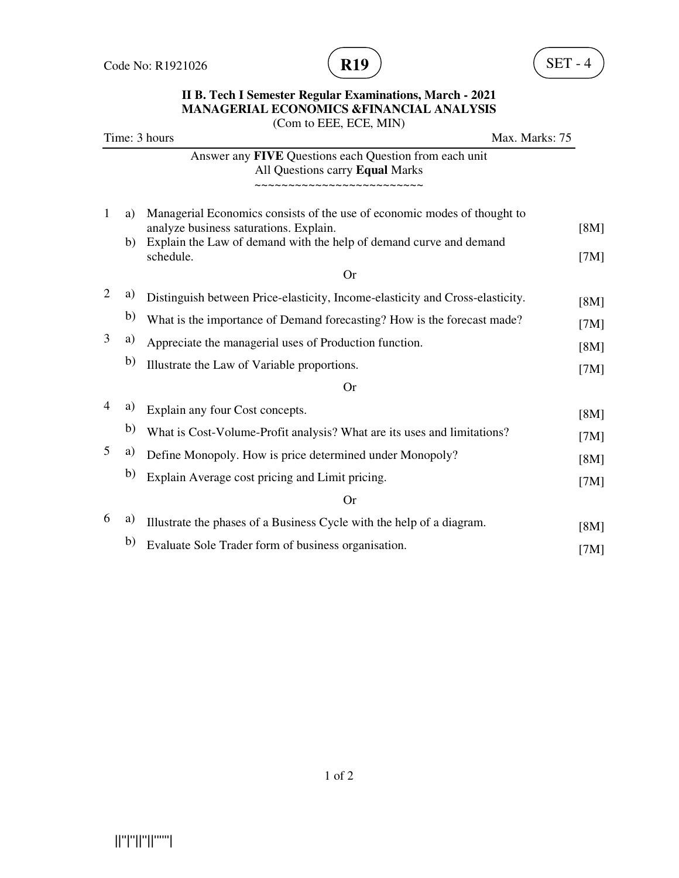

#### **II B. Tech I Semester Regular Examinations, March - 2021 MANAGERIAL ECONOMICS &FINANCIAL ANALYSIS**  (Com to EEE, ECE, MIN)

|                      | Time: 3 hours                                                                                                      | Max. Marks: 75 |      |
|----------------------|--------------------------------------------------------------------------------------------------------------------|----------------|------|
|                      | Answer any FIVE Questions each Question from each unit<br>All Questions carry Equal Marks                          |                |      |
|                      | ~~~~~~~~~~~~~~~~~~~                                                                                                |                |      |
| $\mathbf{1}$<br>a)   | Managerial Economics consists of the use of economic modes of thought to<br>analyze business saturations. Explain. |                | [8M] |
| b)                   | Explain the Law of demand with the help of demand curve and demand<br>schedule.                                    |                | [7M] |
|                      | <b>Or</b>                                                                                                          |                |      |
| $\overline{2}$<br>a) | Distinguish between Price-elasticity, Income-elasticity and Cross-elasticity.                                      |                | [8M] |
| b)                   | What is the importance of Demand forecasting? How is the forecast made?                                            |                | [7M] |
| 3<br>a)              | Appreciate the managerial uses of Production function.                                                             |                | [8M] |
| b)                   | Illustrate the Law of Variable proportions.                                                                        |                | [7M] |
|                      | <b>Or</b>                                                                                                          |                |      |
| 4<br>a)              | Explain any four Cost concepts.                                                                                    |                | [8M] |
| b)                   | What is Cost-Volume-Profit analysis? What are its uses and limitations?                                            |                | [7M] |
| 5<br>a)              | Define Monopoly. How is price determined under Monopoly?                                                           |                | [8M] |
| b)                   | Explain Average cost pricing and Limit pricing.                                                                    |                | [7M] |
|                      | <b>Or</b>                                                                                                          |                |      |
| 6<br>a)              | Illustrate the phases of a Business Cycle with the help of a diagram.                                              |                | [8M] |
| b)                   | Evaluate Sole Trader form of business organisation.                                                                |                | [7M] |

1 of 2